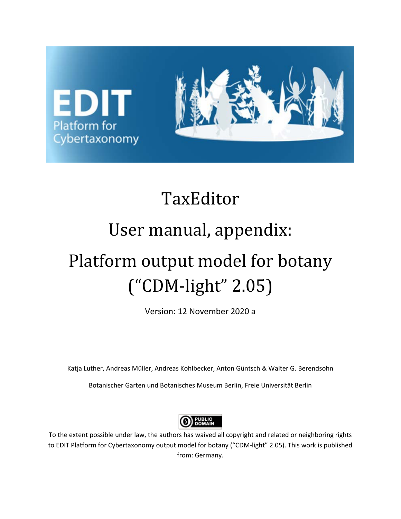

# TaxEditor

# User manual, appendix:

# Platform output model for botany ("CDM-light" 2.05)

Version: 12 November 2020 a

Katja Luther, Andreas Müller, Andreas Kohlbecker, Anton Güntsch & Walter G. Berendsohn

Botanischer Garten und Botanisches Museum Berlin, Freie Universität Berlin



To the extent possible under law, the authors has waived all copyright and related or neighboring rights to EDIT Platform for Cybertaxonomy output model for botany ("CDM-light" 2.05). This work is published from: Germany.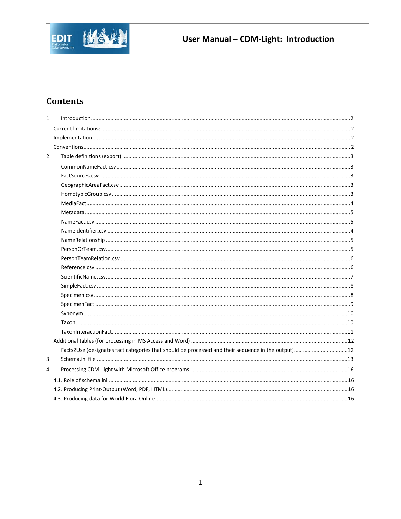

# **Contents**

| $\mathbf{1}$   | $\label{eq:1} Introduction. 22$ |  |
|----------------|---------------------------------|--|
|                |                                 |  |
|                |                                 |  |
|                |                                 |  |
| $\overline{2}$ |                                 |  |
|                |                                 |  |
|                |                                 |  |
|                |                                 |  |
|                |                                 |  |
|                |                                 |  |
|                |                                 |  |
|                |                                 |  |
|                |                                 |  |
|                |                                 |  |
|                |                                 |  |
|                |                                 |  |
|                |                                 |  |
|                |                                 |  |
|                |                                 |  |
|                |                                 |  |
|                |                                 |  |
|                |                                 |  |
|                |                                 |  |
|                |                                 |  |
|                |                                 |  |
|                |                                 |  |
| 3              |                                 |  |
| 4              |                                 |  |
|                |                                 |  |
|                |                                 |  |
|                |                                 |  |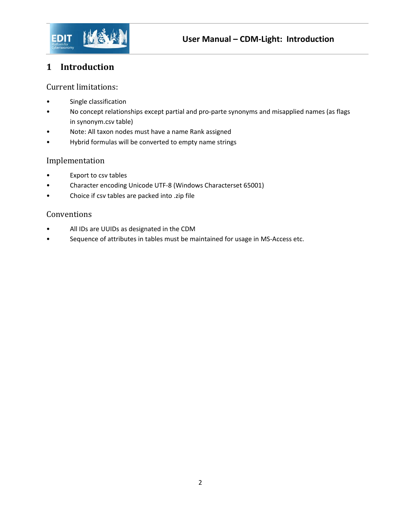

# <span id="page-2-0"></span>**1 Introduction**

#### <span id="page-2-1"></span>Current limitations:

- Single classification
- No concept relationships except partial and pro-parte synonyms and misapplied names (as flags in synonym.csv table)
- Note: All taxon nodes must have a name Rank assigned
- Hybrid formulas will be converted to empty name strings

#### <span id="page-2-2"></span>Implementation

- Export to csv tables
- Character encoding Unicode UTF-8 (Windows Characterset 65001)
- Choice if csv tables are packed into .zip file

#### <span id="page-2-3"></span>Conventions

- All IDs are UUIDs as designated in the CDM
- Sequence of attributes in tables must be maintained for usage in MS-Access etc.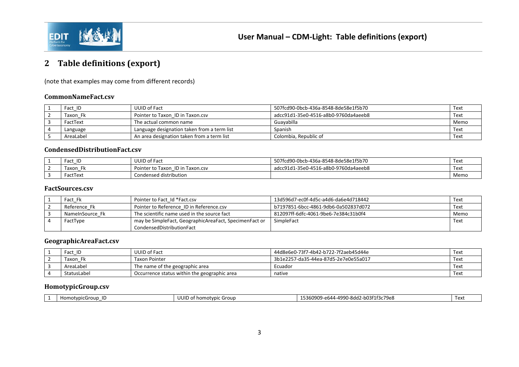

# **Table definitions (export)**

(note that examples may come from different records)

#### **CommonNameFact.csv**

| Fact ID   | UUID of Fact                                | 507fcd90-0bcb-436a-8548-8de58e1f5b70 | Text |
|-----------|---------------------------------------------|--------------------------------------|------|
| Taxon Fk  | Pointer to Taxon ID in Taxon.csv            | adcc91d1-35e0-4516-a8b0-9760da4aeeb8 | Text |
| FactText  | The actual common name                      | Guavabilla                           | Memo |
| Language  | Language designation taken from a term list | Spanish                              | Text |
| AreaLabel | An area designation taken from a term list  | Colombia, Republic of                | Text |

#### **CondensedDistributionFact.csv**

| ID           | <b>UUID of Fact</b>                 | 507fcd90-0bcb-436a-8548-8de58e1f5b70 | Tex. |
|--------------|-------------------------------------|--------------------------------------|------|
| Taxon<br>. . | ID in Taxon.csv<br>Pointer to Taxon | adcc91d1-35e0-4516-a8b0-9760da4aeeb8 | Text |
| actText      | Condensed distribution              |                                      | Memo |

#### <span id="page-3-0"></span>**FactSources.csv**

<span id="page-3-1"></span>

| Fact Fk         | Pointer to Fact Id *Fact.csv                           | 13d596d7-ec0f-4d5c-a4d6-da6e4d718442 | Text |
|-----------------|--------------------------------------------------------|--------------------------------------|------|
| Reference Fk    | Pointer to Reference ID in Reference.csv               | b7197851-6bcc-4861-9db6-0a502837d072 | Text |
| NameInSource Fk | The scientific name used in the source fact            | 812097ff-6dfc-4061-9be6-7e384c31b0f4 | Memo |
| FactType        | may be SimpleFact, GeographicAreaFact, SpecimenFact or | SimpleFact                           | Text |
|                 | CondensedDistributionFact                              |                                      |      |

#### **GeographicAreaFact.csv**

<span id="page-3-2"></span>

| Fact ID     | UUID of Fact                                 | 44d8e6e0-73f7-4b42-b722-7f2aeb45d44e | Text |
|-------------|----------------------------------------------|--------------------------------------|------|
| Faxon       | Taxon Pointer                                | 3b1e2257-da35-44ea-87d5-2e7e0e55a017 | Text |
| AreaLabel   | The name of the geographic area              | Ecuador                              | Text |
| StatusLabel | Occurrence status within the geographic area | native                               | Text |

#### **HomotypicGroup.csv**

<span id="page-3-4"></span><span id="page-3-3"></span>

| - 990-8dd2-b03f1f3c79er-<br>$3.3 - 6644 - 490$<br><b>JUID</b><br>153609C<br>$\sim$ Coroup.<br>of homotypic<br>Text<br>Group |
|-----------------------------------------------------------------------------------------------------------------------------|
|-----------------------------------------------------------------------------------------------------------------------------|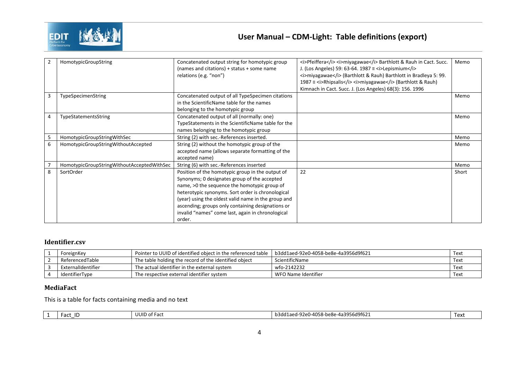

| $\overline{2}$ | HomotypicGroupString                       | Concatenated output string for homotypic group      | <i>Pfeiffera miyagawae</i> Barthlott & Rauh in Cact. Succ.       | Memo  |
|----------------|--------------------------------------------|-----------------------------------------------------|------------------------------------------------------------------|-------|
|                |                                            | (names and citations) + status + some name          | J. (Los Angeles) 59: 63-64. 1987 $\equiv$ <i>Lepismium</i>       |       |
|                |                                            | relations (e.g. "non")                              | <i>miyagawae</i> (Barthlott & Rauh) Barthlott in Bradleya 5: 99. |       |
|                |                                            |                                                     | 1987 = <i>Rhipsalis miyagawae</i> (Barthlott & Rauh)             |       |
|                |                                            |                                                     | Kimnach in Cact. Succ. J. (Los Angeles) 68(3): 156. 1996         |       |
| 3              | TypeSpecimenString                         | Concatenated output of all TypeSpecimen citations   |                                                                  | Memo  |
|                |                                            | in the ScientificName table for the names           |                                                                  |       |
|                |                                            | belonging to the homotypic group                    |                                                                  |       |
| 4              | TypeStatementsString                       | Concatenated output of all (normally: one)          |                                                                  | Memo  |
|                |                                            | TypeStatements in the ScientificName table for the  |                                                                  |       |
|                |                                            | names belonging to the homotypic group              |                                                                  |       |
| 5              | HomotypicGroupStringWithSec                | String (2) with sec.-References inserted.           |                                                                  | Memo  |
| 6              | HomotypicGroupStringWithoutAccepted        | String (2) without the homotypic group of the       |                                                                  | Memo  |
|                |                                            | accepted name (allows separate formatting of the    |                                                                  |       |
|                |                                            | accepted name)                                      |                                                                  |       |
|                | HomotypicGroupStringWithoutAcceptedWithSec | String (6) with sec.-References inserted            |                                                                  | Memo  |
| 8              | SortOrder                                  | Position of the homotypic group in the output of    | 22                                                               | Short |
|                |                                            | Synonyms; 0 designates group of the accepted        |                                                                  |       |
|                |                                            | name, >0 the sequence the homotypic group of        |                                                                  |       |
|                |                                            | heterotypic synonyms. Sort order is chronological   |                                                                  |       |
|                |                                            | (year) using the oldest valid name in the group and |                                                                  |       |
|                |                                            | ascending; groups only containing designations or   |                                                                  |       |
|                |                                            | invalid "names" come last, again in chronological   |                                                                  |       |
|                |                                            | order.                                              |                                                                  |       |

#### **Identifier.csv**

| ForeignKey         | Pointer to UUID of identified obiect in the referenced table | b3dd1aed-92e0-4058-be8e-4a3956d9f621 | Text |
|--------------------|--------------------------------------------------------------|--------------------------------------|------|
| ReferencedTable    | The table holding the record of the identified object        | ScientificName                       | Text |
| ExternalIdentifier | The actual identifier in the external system                 | wfo-2142232                          | Text |
| IdentifierType     | The respective external identifier system                    | WFO Name Identifier                  | Text |

#### **MediaFact**

This is a table for facts containing media and no text

<span id="page-4-0"></span>

| . . | ПD<br>$-2e+$<br>≀ ac. | $-2$<br>. ract<br>וטי<br>uur | -be8e-4a3956d9f621<br>h3dd1.<br>∩-⊿∩5<br>101<br>-030-<br>24 C U | ۷۰ - ۱<br>. CAL |
|-----|-----------------------|------------------------------|-----------------------------------------------------------------|-----------------|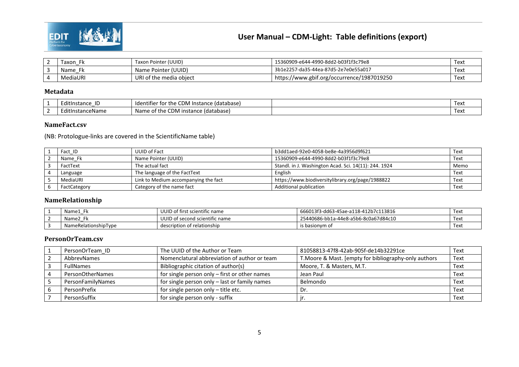

# **User Manual – CDM-Light: Table definitions (export)**

| Faxon<br>E Iz | Taxon Pointer (UUID)    | 15360909-e644-4990-8dd2-b03f1f3c79e8       | Text |
|---------------|-------------------------|--------------------------------------------|------|
| Name          | Name Pointer (UUID)     | 3b1e2257-da35-44ea-87d5-2e7e0e55a017       | Text |
| MediaURI      | URI of the media object | https://www.gbif.org/occurrence/1987019250 | Text |

#### **Metadata**

| .<br>EditInstance<br>ΙL | .<br>nn.<br>(database)<br>Instance<br>Identifier for the<br>CDM | Text |
|-------------------------|-----------------------------------------------------------------|------|
| .<br>EditInstanceName   | CDM<br>database)<br>the<br>instance<br>Name<br>$\sim$<br>O      | Text |

#### **NameFact.csv**

(NB: Protologue-links are covered in the ScientificName table)

| Fact ID      | UUID of Fact                         | b3dd1aed-92e0-4058-be8e-4a3956d9f621                  | Text |
|--------------|--------------------------------------|-------------------------------------------------------|------|
| Name_Fk      | Name Pointer (UUID)                  | 15360909-e644-4990-8dd2-b03f1f3c79e8                  | Text |
| FactText     | The actual fact                      | Standl. in J. Washington Acad. Sci. 14(11): 244. 1924 | Memo |
| Language     | The language of the FactText         | English                                               | Text |
| MediaURI     | Link to Medium accompanying the fact | https://www.biodiversitylibrary.org/page/1988822      | Text |
| FactCategory | Category of the name fact            | Additional publication                                | Text |

#### **NameRelationship**

<span id="page-5-0"></span>

| Name1                | UUID of first scientific name  | 666013f3-dd63-45ae-a118-412b7c113816 | Text |
|----------------------|--------------------------------|--------------------------------------|------|
| Name2                | UUID of second scientific name | 25440686-bb1a-44e8-a5b6-8c0a67d84c10 | Text |
| NameRelationshipType | description of relationship    | is basionym of                       | Text |

#### <span id="page-5-1"></span>**PersonOrTeam.csv**

<span id="page-5-3"></span><span id="page-5-2"></span>

| PersonOrTeam ID   | The UUID of the Author or Team                | 81058813-47f8-42ab-905f-de14b32291ce                  | Text |
|-------------------|-----------------------------------------------|-------------------------------------------------------|------|
| AbbrevNames       | Nomenclatural abbreviation of author or team  | T. Moore & Mast. [empty for bibliography-only authors | Text |
| <b>FullNames</b>  | Bibliographic citation of author(s)           | Moore, T. & Masters, M.T.                             | Text |
| PersonOtherNames  | for single person only - first or other names | Jean Paul                                             | Text |
| PersonFamilyNames | for single person only - last or family names | Belmondo                                              | Text |
| PersonPrefix      | for single person only - title etc.           | Dr.                                                   | Text |
| PersonSuffix      | for single person only - suffix               |                                                       | Text |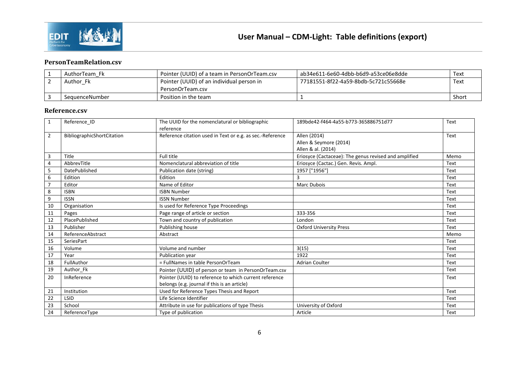

#### **PersonTeamRelation.csv**

| AuthorTeam Fk  | Pointer (UUID) of a team in PersonOrTeam.csv | ab34e611-6e60-4dbb-b6d9-a53ce06e8dde | Text  |
|----------------|----------------------------------------------|--------------------------------------|-------|
| Author Fk      | Pointer (UUID) of an individual person in    | 77181551-8f22-4a59-8bdb-5c721c55668e | Text  |
|                | PersonOrTeam.csv                             |                                      |       |
| SequenceNumber | Position in the team                         |                                      | Short |

#### **Reference.csv**

<span id="page-6-1"></span><span id="page-6-0"></span>

| $\mathbf{1}$   | Reference ID               | The UUID for the nomenclatural or bibliographic           | 189bde42-f464-4a55-b773-365886751d77                  | Text |
|----------------|----------------------------|-----------------------------------------------------------|-------------------------------------------------------|------|
|                |                            | reference                                                 |                                                       |      |
| $\overline{2}$ | BibliographicShortCitation | Reference citation used in Text or e.g. as sec.-Reference | Allen (2014)                                          | Text |
|                |                            |                                                           | Allen & Seymore (2014)                                |      |
|                |                            |                                                           | Allen & al. (2014)                                    |      |
| 3              | Title                      | Full title                                                | Eriosyce (Cactaceae): The genus revised and amplified | Memo |
| 4              | AbbrevTitle                | Nomenclatural abbreviation of title                       | Eriosyce (Cactac.) Gen. Revis. Ampl.                  | Text |
| 5              | DatePublished              | Publication date (string)                                 | 1957 ["1956"]                                         | Text |
| 6              | Edition                    | Edition                                                   | 3                                                     | Text |
| $\overline{7}$ | Editor                     | Name of Editor                                            | <b>Marc Dubois</b>                                    | Text |
| 8              | <b>ISBN</b>                | <b>ISBN Number</b>                                        |                                                       | Text |
| 9              | <b>ISSN</b>                | <b>ISSN Number</b>                                        |                                                       | Text |
| 10             | Organisation               | Is used for Reference Type Proceedings                    |                                                       | Text |
| 11             | Pages                      | Page range of article or section                          | 333-356                                               | Text |
| 12             | PlacePublished             | Town and country of publication                           | London                                                | Text |
| 13             | Publisher                  | Publishing house                                          | <b>Oxford University Press</b>                        | Text |
| 14             | ReferenceAbstract          | Abstract                                                  |                                                       | Memo |
| 15             | SeriesPart                 |                                                           |                                                       | Text |
| 16             | Volume                     | Volume and number                                         | 3(15)                                                 | Text |
| 17             | Year                       | Publication year                                          | 1922                                                  | Text |
| 18             | FullAuthor                 | = FullNames in table PersonOrTeam                         | <b>Adrian Coulter</b>                                 | Text |
| 19             | Author Fk                  | Pointer (UUID) of person or team in PersonOrTeam.csv      |                                                       | Text |
| 20             | InReference                | Pointer (UUID) to reference to which current reference    |                                                       | Text |
|                |                            | belongs (e.g. journal if this is an article)              |                                                       |      |
| 21             | Institution                | Used for Reference Types Thesis and Report                |                                                       | Text |
| 22             | LSID                       | Life Science Identifier                                   |                                                       | Text |
| 23             | School                     | Attribute in use for publications of type Thesis          | University of Oxford                                  | Text |
| 24             | ReferenceType              | Type of publication                                       | Article                                               | Text |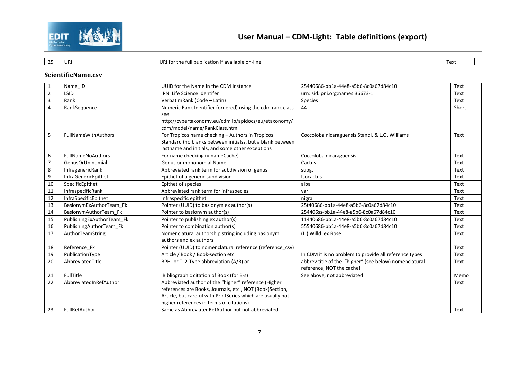

| $\sim$ $-$<br>. .<br>. . | URI | $\sim$<br>URI fo<br>available:<br>u publicatio<br>٠÷۱<br>: on-line<br>ın it | . .<br>⊥ ∆v<br>1 C A L |
|--------------------------|-----|-----------------------------------------------------------------------------|------------------------|

#### **ScientificName.csv**

<span id="page-7-0"></span>

| $\mathbf{1}$   | Name ID                   | UUID for the Name in the CDM Instance                       | 25440686-bb1a-44e8-a5b6-8c0a67d84c10                   | Text  |
|----------------|---------------------------|-------------------------------------------------------------|--------------------------------------------------------|-------|
| $\overline{2}$ | LSID                      | <b>IPNI Life Science Identifer</b>                          | urn:lsid:ipni.org:names:36673-1                        | Text  |
| $\overline{3}$ | Rank                      | VerbatimRank (Code - Latin)                                 | Species                                                | Text  |
| 4              | RankSequence              | Numeric Rank Identifier (ordered) using the cdm rank class  | 44                                                     | Short |
|                |                           | see                                                         |                                                        |       |
|                |                           | http://cybertaxonomy.eu/cdmlib/apidocs/eu/etaxonomy/        |                                                        |       |
|                |                           | cdm/model/name/RankClass.html                               |                                                        |       |
| 5              | FullNameWithAuthors       | For Tropicos name checking - Authors in Tropicos            | Coccoloba nicaraguensis Standl. & L.O. Williams        | Text  |
|                |                           | Standard (no blanks between initialss, but a blank between  |                                                        |       |
|                |                           | lastname and initials, and some other exceptions            |                                                        |       |
| 6              | <b>FullNameNoAuthors</b>  | For name checking (= nameCache)                             | Coccoloba nicaraguensis                                | Text  |
| $\overline{7}$ | GenusOrUninomial          | Genus or mononomial Name                                    | Cactus                                                 | Text  |
| 8              | InfragenericRank          | Abbreviated rank term for subdivision of genus              | subg.                                                  | Text  |
| 9              | InfraGenericEpithet       | Epithet of a generic subdivision                            | Isocactus                                              | Text  |
| 10             | SpecificEpithet           | Epithet of species                                          | alba                                                   | Text  |
| 11             | InfraspecificRank         | Abbreviated rank term for infraspecies                      | var.                                                   | Text  |
| 12             | InfraSpecificEpithet      | Infraspecific epithet                                       | nigra                                                  | Text  |
| 13             | BasionymExAuthorTeam Fk   | Pointer (UUID) to basionym ex author(s)                     | 25t40686-bb1a-44e8-a5b6-8c0a67d84c10                   | Text  |
| 14             | BasionymAuthorTeam Fk     | Pointer to basionym author(s)                               | 254406ss-bb1a-44e8-a5b6-8c0a67d84c10                   | Text  |
| 15             | PublishingExAuthorTeam Fk | Pointer to publishing ex author(s)                          | 11440686-bb1a-44e8-a5b6-8c0a67d84c10                   | Text  |
| 16             | PublishingAuthorTeam Fk   | Pointer to combination author(s)                            | 55540686-bb1a-44e8-a5b6-8c0a67d84c10                   | Text  |
| 17             | AuthorTeamString          | Nomenclatural authorship string including basionym          | (L.) Willd. ex Rose                                    | Text  |
|                |                           | authors and ex authors                                      |                                                        |       |
| 18             | Reference Fk              | Pointer (UUID) to nomenclatural reference (reference csv)   |                                                        | Text  |
| 19             | PublicationType           | Article / Book / Book-section etc.                          | In CDM it is no problem to provide all reference types | Text  |
| 20             | AbbreviatedTitle          | BPH- or TL2-Type abbreviation (A/B) or                      | abbrev title of the "higher" (see below) nomenclatural | Text  |
|                |                           |                                                             | reference, NOT the cache!                              |       |
| 21             | FullTitle                 | Bibliographic citation of Book (for B-s)                    | See above, not abbreviated                             | Memo  |
| 22             | AbbreviatedInRefAuthor    | Abbreviated author of the "higher" reference (Higher        |                                                        | Text  |
|                |                           | references are Books, Journals, etc., NOT (Book)Section,    |                                                        |       |
|                |                           | Article, but careful with PrintSeries which are usually not |                                                        |       |
|                |                           | higher references in terms of citations)                    |                                                        |       |
| 23             | FullRefAuthor             | Same as Abbreviated RefAuthor but not abbreviated           |                                                        | Text  |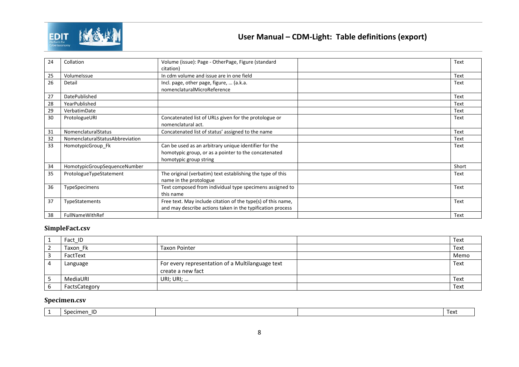

| 24 | Collation                       | Volume (issue): Page - OtherPage, Figure (standard<br>citation)                                                            | Text  |
|----|---------------------------------|----------------------------------------------------------------------------------------------------------------------------|-------|
| 25 | VolumeIssue                     | In cdm volume and issue are in one field                                                                                   | Text  |
| 26 | Detail                          | Incl. page, other page, figure,  (a.k.a.<br>nomenclaturalMicroReference                                                    | Text  |
| 27 | DatePublished                   |                                                                                                                            | Text  |
| 28 | YearPublished                   |                                                                                                                            | Text  |
| 29 | VerbatimDate                    |                                                                                                                            | Text  |
| 30 | ProtologueURI                   | Concatenated list of URLs given for the protologue or<br>nomenclatural act.                                                | Text  |
| 31 | NomenclaturalStatus             | Concatenated list of status' assigned to the name                                                                          | Text  |
| 32 | NomenclaturalStatusAbbreviation |                                                                                                                            | Text  |
| 33 | HomotypicGroup Fk               | Can be used as an arbitrary unique identifier for the                                                                      | Text  |
|    |                                 | homotypic group, or as a pointer to the concatenated<br>homotypic group string                                             |       |
| 34 | HomotypicGroupSequenceNumber    |                                                                                                                            | Short |
| 35 | ProtologueTypeStatement         | The original (verbatim) text establishing the type of this<br>name in the protologue                                       | Text  |
| 36 | TypeSpecimens                   | Text composed from individual type specimens assigned to<br>this name                                                      | Text  |
| 37 | TypeStatements                  | Free text. May include citation of the type(s) of this name,<br>and may describe actions taken in the typification process | Text  |
| 38 | <b>FullNameWithRef</b>          |                                                                                                                            | Text  |

#### **SimpleFact.csv**

| <u>д</u> | Fact_ID       |                                                  | Text |
|----------|---------------|--------------------------------------------------|------|
| ∼        | Taxon Fk      | <b>Taxon Pointer</b>                             | Text |
|          | FactText      |                                                  | Memo |
| 4        | Language      | For every representation of a Multilanguage text | Text |
|          |               | create a new fact                                |      |
| ر        | MediaURI      | URI; URI; $\ldots$                               | Text |
| 6        | FactsCategory |                                                  | Text |

#### **Specimen.csv**

<span id="page-8-1"></span><span id="page-8-0"></span>

| nerimen |  | Tov <sup>.</sup><br>◡◠ |
|---------|--|------------------------|
|         |  |                        |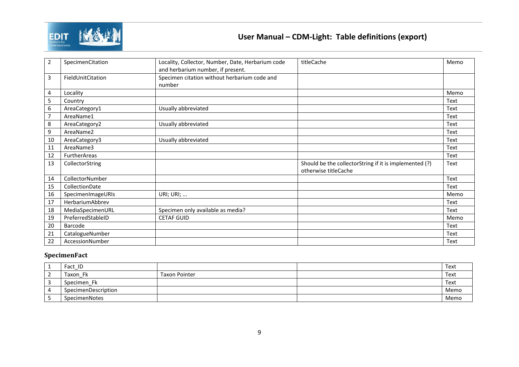

# **User Manual – CDM-Light: Table definitions (export)**

| $\overline{2}$ | SpecimenCitation    | Locality, Collector, Number, Date, Herbarium code | titleCache                                             | Memo |
|----------------|---------------------|---------------------------------------------------|--------------------------------------------------------|------|
|                |                     | and herbarium number, if present.                 |                                                        |      |
| 3              | FieldUnitCitation   | Specimen citation without herbarium code and      |                                                        |      |
|                |                     | number                                            |                                                        |      |
| 4              | Locality            |                                                   |                                                        | Memo |
| 5              | Country             |                                                   |                                                        | Text |
| 6              | AreaCategory1       | Usually abbreviated                               |                                                        | Text |
| $\overline{7}$ | AreaName1           |                                                   |                                                        | Text |
| 8              | AreaCategory2       | Usually abbreviated                               |                                                        | Text |
| 9              | AreaName2           |                                                   |                                                        | Text |
| 10             | AreaCategory3       | Usually abbreviated                               |                                                        | Text |
| 11             | AreaName3           |                                                   |                                                        | Text |
| 12             | <b>FurtherAreas</b> |                                                   |                                                        | Text |
| 13             | CollectorString     |                                                   | Should be the collectorString if it is implemented (?) | Text |
|                |                     |                                                   | otherwise titleCache                                   |      |
| 14             | CollectorNumber     |                                                   |                                                        | Text |
| 15             | CollectionDate      |                                                   |                                                        | Text |
| 16             | SpecimenImageURIs   | URI; URI;                                         |                                                        | Memo |
| 17             | HerbariumAbbrev     |                                                   |                                                        | Text |
| 18             | MediaSpecimenURL    | Specimen only available as media?                 |                                                        | Text |
| 19             | PreferredStableID   | <b>CETAF GUID</b>                                 |                                                        | Memo |
| 20             | Barcode             |                                                   |                                                        | Text |
| 21             | CatalogueNumber     |                                                   |                                                        | Text |
| 22             | AccessionNumber     |                                                   |                                                        | Text |

#### **SpecimenFact**

<span id="page-9-0"></span>

| <b>T</b>   | Fact ID             |                      | Text |
|------------|---------------------|----------------------|------|
| $\epsilon$ | Taxon Fk            | <b>Taxon Pointer</b> | Text |
|            | Specimen Fk         |                      | Text |
| 4          | SpecimenDescription |                      | Memo |
|            | SpecimenNotes       |                      | Memo |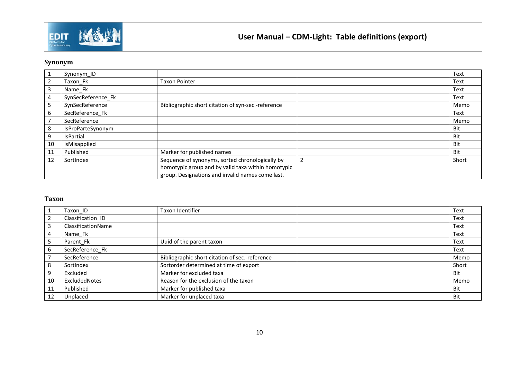

### **Synonym**

|    | Synonym_ID         |                                                    |   | Text  |
|----|--------------------|----------------------------------------------------|---|-------|
|    | Taxon Fk           | <b>Taxon Pointer</b>                               |   | Text  |
| 3  | Name_Fk            |                                                    |   | Text  |
| 4  | SynSecReference_Fk |                                                    |   | Text  |
|    | SynSecReference    | Bibliographic short citation of syn-sec.-reference |   | Memo  |
| 6  | SecReference Fk    |                                                    |   | Text  |
|    | SecReference       |                                                    |   | Memo  |
| 8  | IsProParteSynonym  |                                                    |   | Bit   |
| 9  | <b>IsPartial</b>   |                                                    |   | Bit   |
| 10 | isMisapplied       |                                                    |   | Bit   |
| 11 | Published          | Marker for published names                         |   | Bit   |
| 12 | SortIndex          | Sequence of synonyms, sorted chronologically by    | 2 | Short |
|    |                    | homotypic group and by valid taxa within homotypic |   |       |
|    |                    | group. Designations and invalid names come last.   |   |       |

#### <span id="page-10-0"></span>**Taxon**

<span id="page-10-1"></span>

| 1               | Taxon_ID           | Taxon Identifier                               | Text  |
|-----------------|--------------------|------------------------------------------------|-------|
| $\overline{2}$  | Classification ID  |                                                | Text  |
| $\overline{3}$  | ClassificationName |                                                | Text  |
| $\overline{4}$  | Name_Fk            |                                                | Text  |
| $5\phantom{.0}$ | Parent_Fk          | Uuid of the parent taxon                       | Text  |
| $6\phantom{.}6$ | SecReference Fk    |                                                | Text  |
| $\overline{7}$  | SecReference       | Bibliographic short citation of sec.-reference | Memo  |
| 8               | SortIndex          | Sortorder determined at time of export         | Short |
| 9               | Excluded           | Marker for excluded taxa                       | Bit   |
| 10              | ExcludedNotes      | Reason for the exclusion of the taxon          | Memo  |
| 11              | Published          | Marker for published taxa                      | Bit   |
| 12              | Unplaced           | Marker for unplaced taxa                       | Bit   |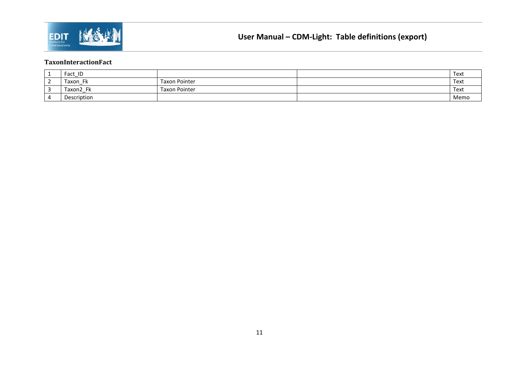

#### **TaxonInteractionFact**

<span id="page-11-1"></span><span id="page-11-0"></span>

| <u>д.</u> | Fact<br>_           |                      | Text |
|-----------|---------------------|----------------------|------|
| ∸         | Taxon               | <b>Taxon Pointer</b> | Text |
| ັ         | - EL<br>Taxon2<br>n | <b>Taxon Pointer</b> | Text |
| 4         | Description         |                      | Memo |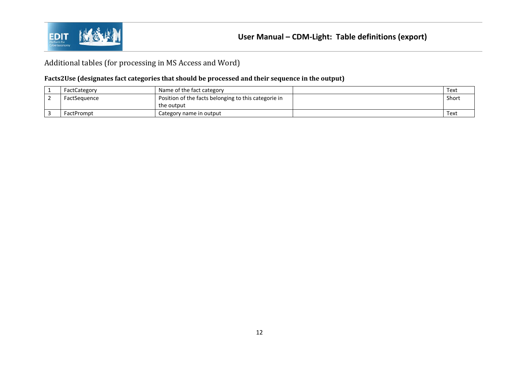

### Additional tables (for processing in MS Access and Word)

#### **Facts2Use (designates fact categories that should be processed and their sequence in the output)**

<span id="page-12-0"></span>

| FactCategory      | Name of the fact category                            | Text  |
|-------------------|------------------------------------------------------|-------|
| FactSequence      | Position of the facts belonging to this categorie in | Short |
|                   | the output                                           |       |
| <b>FactPrompt</b> | Category name in output                              | Text  |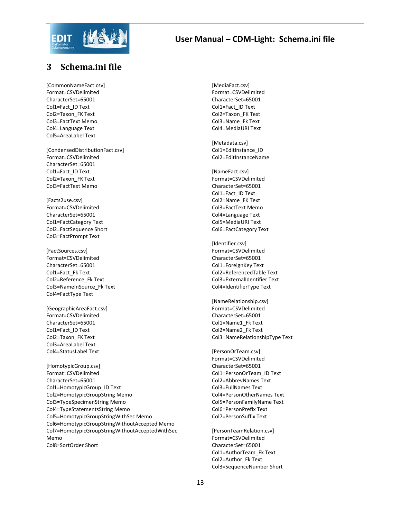

# <span id="page-13-0"></span>**3 Schema.ini file**

[CommonNameFact.csv] Format=CSVDelimited CharacterSet=65001 Col1=Fact\_ID Text Col2=Taxon\_FK Text Col3=FactText Memo Col4=Language Text Col5=AreaLabel Text

[CondensedDistributionFact.csv] Format=CSVDelimited CharacterSet=65001 Col1=Fact\_ID Text Col2=Taxon\_FK Text Col3=FactText Memo

[Facts2use.csv] Format=CSVDelimited CharacterSet=65001 Col1=FactCategory Text Col2=FactSequence Short Col3=FactPrompt Text

[FactSources.csv] Format=CSVDelimited CharacterSet=65001 Col1=Fact\_Fk Text Col2=Reference\_Fk Text Col3=NameInSource\_Fk Text Col4=FactType Text

[GeographicAreaFact.csv] Format=CSVDelimited CharacterSet=65001 Col1=Fact\_ID Text Col2=Taxon\_FK Text Col3=AreaLabel Text Col4=StatusLabel Text

[HomotypicGroup.csv] Format=CSVDelimited CharacterSet=65001 Col1=HomotypicGroup\_ID Text Col2=HomotypicGroupString Memo Col3=TypeSpecimenString Memo Col4=TypeStatementsString Memo Col5=HomotypicGroupStringWithSec Memo Col6=HomotypicGroupStringWithoutAccepted Memo Col7=HomotypicGroupStringWithoutAcceptedWithSec Memo Col8=SortOrder Short

[MediaFact.csv] Format=CSVDelimited CharacterSet=65001 Col1=Fact\_ID Text Col2=Taxon\_FK Text Col3=Name\_Fk Text Col4=MediaURI Text

[Metadata.csv] Col1=EditInstance\_ID Col2=EditInstanceName

[NameFact.csv] Format=CSVDelimited CharacterSet=65001 Col1=Fact\_ID Text Col2=Name\_FK Text Col3=FactText Memo Col4=Language Text Col5=MediaURI Text Col6=FactCategory Text

[Identifier.csv] Format=CSVDelimited CharacterSet=65001 Col1=ForeignKey Text Col2=ReferencedTable Text Col3=ExternalIdentifier Text Col4=IdentifierType Text

[NameRelationship.csv] Format=CSVDelimited CharacterSet=65001 Col1=Name1\_Fk Text Col2=Name2\_Fk Text Col3=NameRelationshipType Text

[PersonOrTeam.csv] Format=CSVDelimited CharacterSet=65001 Col1=PersonOrTeam\_ID Text Col2=AbbrevNames Text Col3=FullNames Text Col4=PersonOtherNames Text Col5=PersonFamilyName Text Col6=PersonPrefix Text Col7=PersonSuffix Text

[PersonTeamRelation.csv] Format=CSVDelimited CharacterSet=65001 Col1=AuthorTeam\_Fk Text Col2=Author\_Fk Text Col3=SequenceNumber Short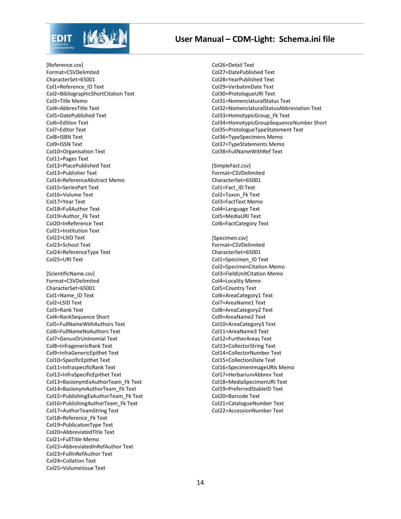

#### **User Manual – CDM-Light: Schema.ini file**

[Reference.csv] Format=CSVDelimited CharacterSet=65001 Col1=Reference\_ID Text Col2=BibliographicShortCitation Text Col3=Title Memo Col4=AbbrevTitle Text Col5=DatePublished Text Col6=Edition Text Col7=Editor Text Col8=ISBN Text Col9=ISSN Text Col10=Organisation Text Col11=Pages Text Col12=PlacePublished Text Col13=Publisher Text Col14=ReferenceAbstract Memo Col15=SeriesPart Text Col16=Volume Text Col17=Year Text Col18=FullAuthor Text Col19=Author\_Fk Text Col20=InReference Text Col21=Institution Text Col22=LSID Text Col23=School Text Col24=ReferenceType Text Col25=URI Text [ScientificName.csv] Format=CSVDelimited CharacterSet=65001 Col1=Name\_ID Text Col2=LSID Text Col3=Rank Text Col4=RankSequence Short Col5=FullNameWithAuthors Text Col6=FullNameNoAuthors Text Col7=GenusOrUninomial Text Col8=InfragenericRank Text Col9=InfraGenericEpithet Text Col10=SpecificEpithet Text Col11=InfraspecificRank Text Col12=InfraSpecificEpithet Text Col13=BasionymExAuthorTeam\_Fk Text Col14=BasionymAuthorTeam\_Fk Text Col15=PublishingExAuthorTeam\_Fk Text Col16=PublishingAuthorTeam\_Fk Text Col17=AuthorTeamString Text Col18=Reference\_Fk Text Col19=PublicationType Text

Col20=AbbreviatedTitle Text Col21=FullTitle Memo Col22=AbbreviatedInRefAuthor Text Col23=FullInRefAuthor Text Col24=Collation Text Col25=VolumeIssue Text

Col26=Detail Text Col27=DatePublished Text Col28=YearPublished Text Col29=VerbatimDate Text Col30=ProtologueURI Text Col31=NomenclaturalStatus Text Col32=NomenclaturalStatusAbbreviation Text Col33=HomotypicGroup\_Fk Text Col34=HomotypicGroupSequenceNumber Short Col35=ProtologueTypeStatement Text Col36=TypeSpecimens Memo Col37=TypeStatements Memo Col38=FullNameWithRef Text

[SimpleFact.csv] Format=CSVDelimited CharacterSet=65001 Col1=Fact\_ID Text Col2=Taxon\_Fk Text Col3=FactText Memo Col4=Language Text Col5=MediaURI Text Col6=FactCategory Text

[Specimen.csv] Format=CSVDelimited CharacterSet=65001 Col1=Specimen\_ID Text Col2=SpecimenCitation Memo Col3=FieldUnitCitation Memo Col4=Locality Memo Col5=Country Text Col6=AreaCategory1 Text Col7=AreaName1 Text Col8=AreaCategory2 Text Col9=AreaName2 Text Col10=AreaCategory3 Text Col11=AreaName3 Text Col12=FurtherAreas Text Col13=CollectorString Text Col14=CollectorNumber Text Col15=CollectionDate Text Col16=SpecimenImageURIs Memo Col17=HerbariumAbbrev Text Col18=MediaSpecimenURI Text Col19=PreferredStableID Text Col20=Barcode Text Col21=CatalogueNumber Text Col22=AccessionNumber Text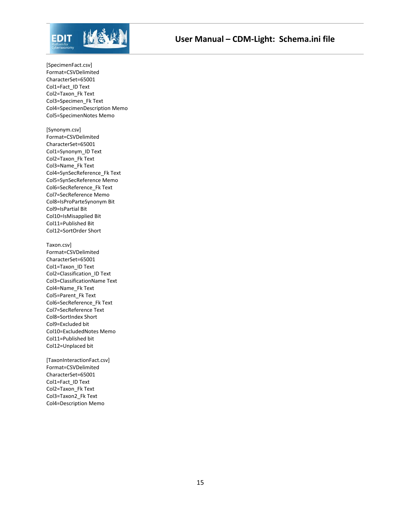

[SpecimenFact.csv] Format=CSVDelimited CharacterSet=65001 Col1=Fact\_ID Text Col2=Taxon\_Fk Text Col3=Specimen\_Fk Text Col4=SpecimenDescription Memo Col5=SpecimenNotes Memo

[Synonym.csv] Format=CSVDelimited CharacterSet=65001 Col1=Synonym\_ID Text Col2=Taxon\_Fk Text Col3=Name\_Fk Text Col4=SynSecReference\_Fk Text Col5=SynSecReference Memo Col6=SecReference\_Fk Text Col7=SecReference Memo Col8=IsProParteSynonym Bit Col9=IsPartial Bit Col10=IsMisapplied Bit Col11=Published Bit Col12=SortOrder Short

Taxon.csv] Format=CSVDelimited CharacterSet=65001 Col1=Taxon\_ID Text Col2=Classification\_ID Text Col3=ClassificationName Text Col4=Name\_Fk Text Col5=Parent\_Fk Text Col6=SecReference\_Fk Text Col7=SecReference Text Col8=SortIndex Short Col9=Excluded bit Col10=ExcludedNotes Memo Col11=Published bit Col12=Unplaced bit

[TaxonInteractionFact.csv] Format=CSVDelimited CharacterSet=65001 Col1=Fact\_ID Text Col2=Taxon\_Fk Text Col3=Taxon2\_Fk Text Col4=Description Memo